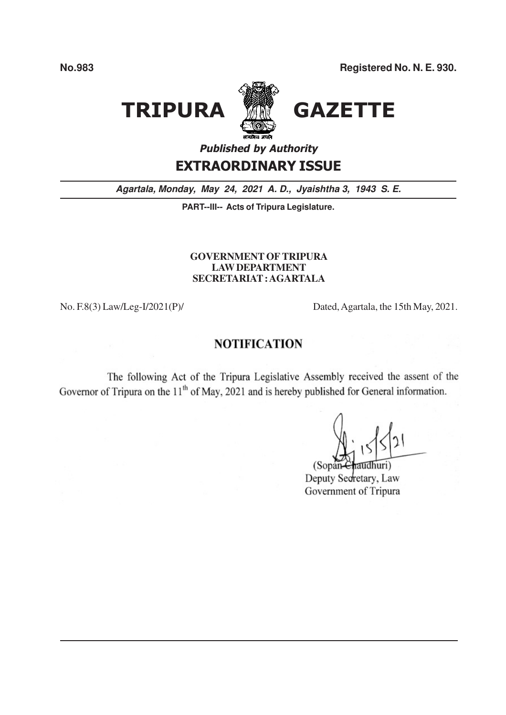# **TRIPURA**



## **GAZETTE**

**Published by Authority** 

### **EXTRAORDINARY ISSUE**

Agartala, Monday, May 24, 2021 A. D., Jyaishtha 3, 1943 S. E.

PART--III-- Acts of Tripura Legislature.

#### **GOVERNMENT OF TRIPURA LAW DEPARTMENT** SECRETARIAT: AGARTALA

No. F.8(3) Law/Leg-I/2021(P)/

Dated, Agartala, the 15th May, 2021.

#### **NOTIFICATION**

The following Act of the Tripura Legislative Assembly received the assent of the Governor of Tripura on the 11<sup>th</sup> of May, 2021 and is hereby published for General information.

 $(Sopan$ 

Deputy Secretary, Law Government of Tripura

**No.983**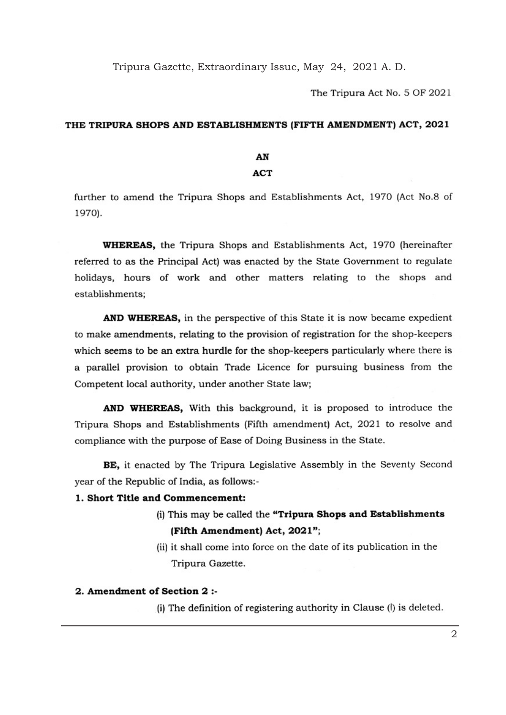Tripura Gazette, Extraordinary Issue, May 24, 2021 A. D.

The Tripura Act No. 5 OF 2021

#### THE TRIPURA SHOPS AND ESTABLISHMENTS (FIFTH AMENDMENT) ACT, 2021

#### **AN**

#### ACT

further to amend the Tripura Shops and Establishments Act, 1970 (Act No.8 of 1970).

**WHEREAS,** the Tripura Shops and Establishments Act, 1970 (hereinafter referred to as the Principal Act) was enacted by the State Government to regulate holidays, hours of work and other matters relating to the shops and establishments;

AND WHEREAS, in the perspective of this State it is now became expedient to make amendments, relating to the provision of registration for the shop-keepers which seems to be an extra hurdle for the shop-keepers particularly where there is a parallel provision to obtain Trade Licence for pursuing business from the Competent local authority, under another State law;

AND WHEREAS, With this background, it is proposed to introduce the Tripura Shops and Establishments [Fifth amendment} Act, 2021 to resolve and compliance with the purpose of Ease of Doing Business in the State.

BE, it enacted by The Tripura Legislative assembly in the Seventy Second year of the Republic of India, as follows:-

#### 1. Short Title snd Commencement:

(i) This may be called the "Tripura Shops and Establishments (Fifth Amendment) Act, 2021";

(ii) it shall come into force on the date of its publication in the Tripura Gazette.

#### 2. Amendment of Section 2 :-

(i) The definition of registering authority in Clause (I) is deleted.